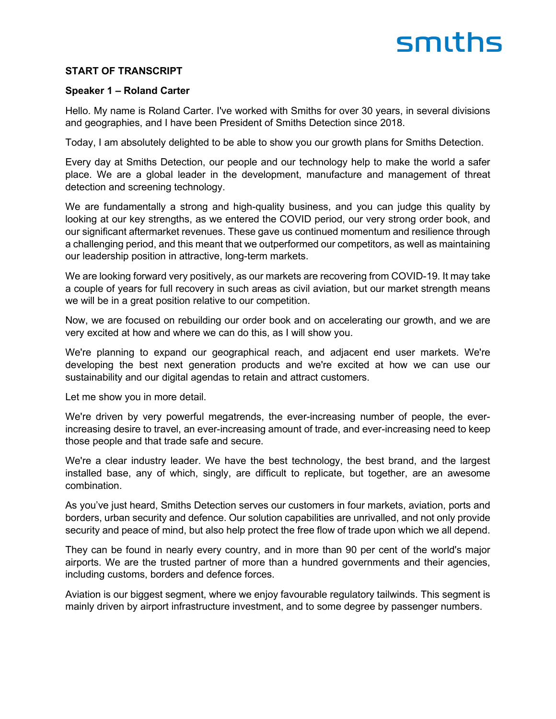#### **START OF TRANSCRIPT**

#### **Speaker 1 – Roland Carter**

Hello. My name is Roland Carter. I've worked with Smiths for over 30 years, in several divisions and geographies, and I have been President of Smiths Detection since 2018.

Today, I am absolutely delighted to be able to show you our growth plans for Smiths Detection.

Every day at Smiths Detection, our people and our technology help to make the world a safer place. We are a global leader in the development, manufacture and management of threat detection and screening technology.

We are fundamentally a strong and high-quality business, and you can judge this quality by looking at our key strengths, as we entered the COVID period, our very strong order book, and our significant aftermarket revenues. These gave us continued momentum and resilience through a challenging period, and this meant that we outperformed our competitors, as well as maintaining our leadership position in attractive, long-term markets.

We are looking forward very positively, as our markets are recovering from COVID-19. It may take a couple of years for full recovery in such areas as civil aviation, but our market strength means we will be in a great position relative to our competition.

Now, we are focused on rebuilding our order book and on accelerating our growth, and we are very excited at how and where we can do this, as I will show you.

We're planning to expand our geographical reach, and adjacent end user markets. We're developing the best next generation products and we're excited at how we can use our sustainability and our digital agendas to retain and attract customers.

Let me show you in more detail.

We're driven by very powerful megatrends, the ever-increasing number of people, the everincreasing desire to travel, an ever-increasing amount of trade, and ever-increasing need to keep those people and that trade safe and secure.

We're a clear industry leader. We have the best technology, the best brand, and the largest installed base, any of which, singly, are difficult to replicate, but together, are an awesome combination.

As you've just heard, Smiths Detection serves our customers in four markets, aviation, ports and borders, urban security and defence. Our solution capabilities are unrivalled, and not only provide security and peace of mind, but also help protect the free flow of trade upon which we all depend.

They can be found in nearly every country, and in more than 90 per cent of the world's major airports. We are the trusted partner of more than a hundred governments and their agencies, including customs, borders and defence forces.

Aviation is our biggest segment, where we enjoy favourable regulatory tailwinds. This segment is mainly driven by airport infrastructure investment, and to some degree by passenger numbers.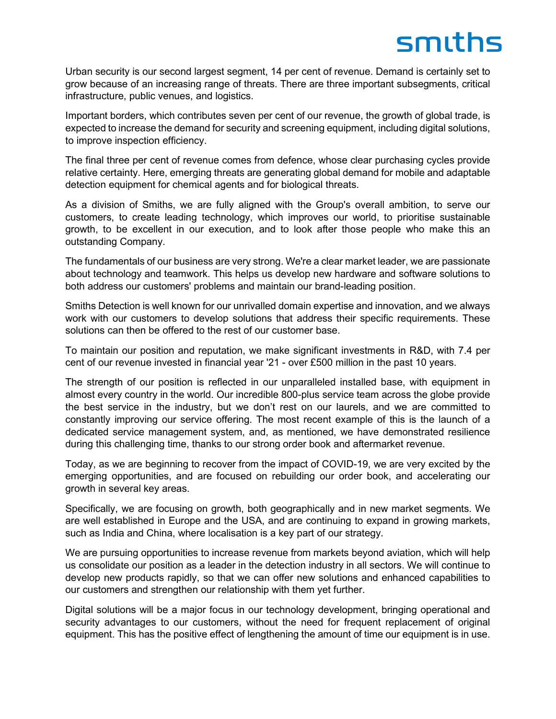Urban security is our second largest segment, 14 per cent of revenue. Demand is certainly set to grow because of an increasing range of threats. There are three important subsegments, critical infrastructure, public venues, and logistics.

Important borders, which contributes seven per cent of our revenue, the growth of global trade, is expected to increase the demand for security and screening equipment, including digital solutions, to improve inspection efficiency.

The final three per cent of revenue comes from defence, whose clear purchasing cycles provide relative certainty. Here, emerging threats are generating global demand for mobile and adaptable detection equipment for chemical agents and for biological threats.

As a division of Smiths, we are fully aligned with the Group's overall ambition, to serve our customers, to create leading technology, which improves our world, to prioritise sustainable growth, to be excellent in our execution, and to look after those people who make this an outstanding Company.

The fundamentals of our business are very strong. We're a clear market leader, we are passionate about technology and teamwork. This helps us develop new hardware and software solutions to both address our customers' problems and maintain our brand-leading position.

Smiths Detection is well known for our unrivalled domain expertise and innovation, and we always work with our customers to develop solutions that address their specific requirements. These solutions can then be offered to the rest of our customer base.

To maintain our position and reputation, we make significant investments in R&D, with 7.4 per cent of our revenue invested in financial year '21 - over £500 million in the past 10 years.

The strength of our position is reflected in our unparalleled installed base, with equipment in almost every country in the world. Our incredible 800-plus service team across the globe provide the best service in the industry, but we don't rest on our laurels, and we are committed to constantly improving our service offering. The most recent example of this is the launch of a dedicated service management system, and, as mentioned, we have demonstrated resilience during this challenging time, thanks to our strong order book and aftermarket revenue.

Today, as we are beginning to recover from the impact of COVID-19, we are very excited by the emerging opportunities, and are focused on rebuilding our order book, and accelerating our growth in several key areas.

Specifically, we are focusing on growth, both geographically and in new market segments. We are well established in Europe and the USA, and are continuing to expand in growing markets, such as India and China, where localisation is a key part of our strategy.

We are pursuing opportunities to increase revenue from markets beyond aviation, which will help us consolidate our position as a leader in the detection industry in all sectors. We will continue to develop new products rapidly, so that we can offer new solutions and enhanced capabilities to our customers and strengthen our relationship with them yet further.

Digital solutions will be a major focus in our technology development, bringing operational and security advantages to our customers, without the need for frequent replacement of original equipment. This has the positive effect of lengthening the amount of time our equipment is in use.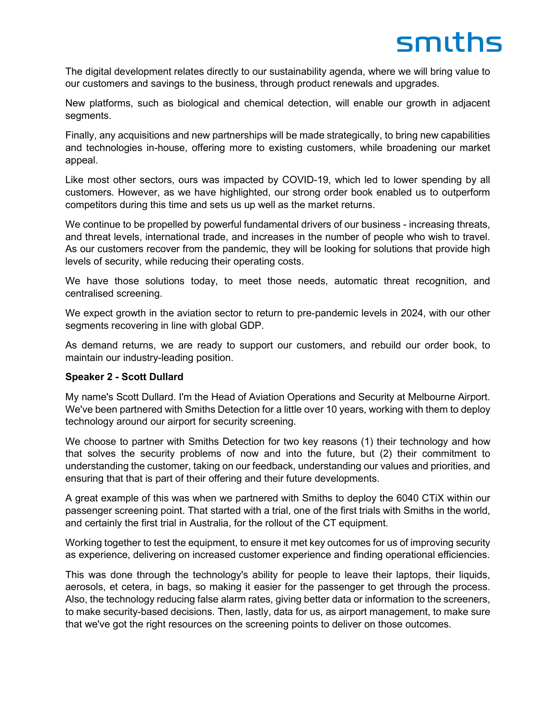The digital development relates directly to our sustainability agenda, where we will bring value to our customers and savings to the business, through product renewals and upgrades.

New platforms, such as biological and chemical detection, will enable our growth in adjacent segments.

Finally, any acquisitions and new partnerships will be made strategically, to bring new capabilities and technologies in-house, offering more to existing customers, while broadening our market appeal.

Like most other sectors, ours was impacted by COVID-19, which led to lower spending by all customers. However, as we have highlighted, our strong order book enabled us to outperform competitors during this time and sets us up well as the market returns.

We continue to be propelled by powerful fundamental drivers of our business - increasing threats, and threat levels, international trade, and increases in the number of people who wish to travel. As our customers recover from the pandemic, they will be looking for solutions that provide high levels of security, while reducing their operating costs.

We have those solutions today, to meet those needs, automatic threat recognition, and centralised screening.

We expect growth in the aviation sector to return to pre-pandemic levels in 2024, with our other segments recovering in line with global GDP.

As demand returns, we are ready to support our customers, and rebuild our order book, to maintain our industry-leading position.

#### **Speaker 2 - Scott Dullard**

My name's Scott Dullard. I'm the Head of Aviation Operations and Security at Melbourne Airport. We've been partnered with Smiths Detection for a little over 10 years, working with them to deploy technology around our airport for security screening.

We choose to partner with Smiths Detection for two key reasons (1) their technology and how that solves the security problems of now and into the future, but (2) their commitment to understanding the customer, taking on our feedback, understanding our values and priorities, and ensuring that that is part of their offering and their future developments.

A great example of this was when we partnered with Smiths to deploy the 6040 CTiX within our passenger screening point. That started with a trial, one of the first trials with Smiths in the world, and certainly the first trial in Australia, for the rollout of the CT equipment.

Working together to test the equipment, to ensure it met key outcomes for us of improving security as experience, delivering on increased customer experience and finding operational efficiencies.

This was done through the technology's ability for people to leave their laptops, their liquids, aerosols, et cetera, in bags, so making it easier for the passenger to get through the process. Also, the technology reducing false alarm rates, giving better data or information to the screeners, to make security-based decisions. Then, lastly, data for us, as airport management, to make sure that we've got the right resources on the screening points to deliver on those outcomes.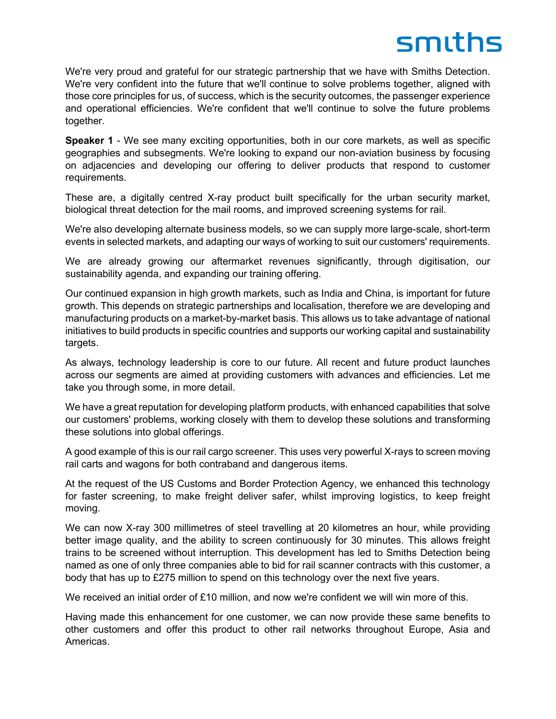We're very proud and grateful for our strategic partnership that we have with Smiths Detection. We're very confident into the future that we'll continue to solve problems together, aligned with those core principles for us, of success, which is the security outcomes, the passenger experience and operational efficiencies. We're confident that we'll continue to solve the future problems together.

**Speaker 1** - We see many exciting opportunities, both in our core markets, as well as specific geographies and subsegments. We're looking to expand our non-aviation business by focusing on adjacencies and developing our offering to deliver products that respond to customer requirements.

These are, a digitally centred X-ray product built specifically for the urban security market, biological threat detection for the mail rooms, and improved screening systems for rail.

We're also developing alternate business models, so we can supply more large-scale, short-term events in selected markets, and adapting our ways of working to suit our customers' requirements.

We are already growing our aftermarket revenues significantly, through digitisation, our sustainability agenda, and expanding our training offering.

Our continued expansion in high growth markets, such as India and China, is important for future growth. This depends on strategic partnerships and localisation, therefore we are developing and manufacturing products on a market-by-market basis. This allows us to take advantage of national initiatives to build products in specific countries and supports our working capital and sustainability targets.

As always, technology leadership is core to our future. All recent and future product launches across our segments are aimed at providing customers with advances and efficiencies. Let me take you through some, in more detail.

We have a great reputation for developing platform products, with enhanced capabilities that solve our customers' problems, working closely with them to develop these solutions and transforming these solutions into global offerings.

A good example of this is our rail cargo screener. This uses very powerful X-rays to screen moving rail carts and wagons for both contraband and dangerous items.

At the request of the US Customs and Border Protection Agency, we enhanced this technology for faster screening, to make freight deliver safer, whilst improving logistics, to keep freight moving.

We can now X-ray 300 millimetres of steel travelling at 20 kilometres an hour, while providing better image quality, and the ability to screen continuously for 30 minutes. This allows freight trains to be screened without interruption. This development has led to Smiths Detection being named as one of only three companies able to bid for rail scanner contracts with this customer, a body that has up to £275 million to spend on this technology over the next five years.

We received an initial order of £10 million, and now we're confident we will win more of this.

Having made this enhancement for one customer, we can now provide these same benefits to other customers and offer this product to other rail networks throughout Europe, Asia and Americas.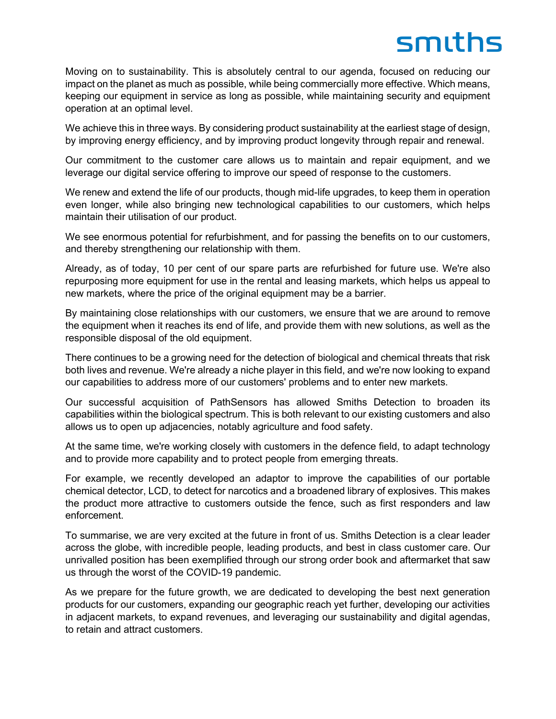Moving on to sustainability. This is absolutely central to our agenda, focused on reducing our impact on the planet as much as possible, while being commercially more effective. Which means, keeping our equipment in service as long as possible, while maintaining security and equipment operation at an optimal level.

We achieve this in three ways. By considering product sustainability at the earliest stage of design, by improving energy efficiency, and by improving product longevity through repair and renewal.

Our commitment to the customer care allows us to maintain and repair equipment, and we leverage our digital service offering to improve our speed of response to the customers.

We renew and extend the life of our products, though mid-life upgrades, to keep them in operation even longer, while also bringing new technological capabilities to our customers, which helps maintain their utilisation of our product.

We see enormous potential for refurbishment, and for passing the benefits on to our customers, and thereby strengthening our relationship with them.

Already, as of today, 10 per cent of our spare parts are refurbished for future use. We're also repurposing more equipment for use in the rental and leasing markets, which helps us appeal to new markets, where the price of the original equipment may be a barrier.

By maintaining close relationships with our customers, we ensure that we are around to remove the equipment when it reaches its end of life, and provide them with new solutions, as well as the responsible disposal of the old equipment.

There continues to be a growing need for the detection of biological and chemical threats that risk both lives and revenue. We're already a niche player in this field, and we're now looking to expand our capabilities to address more of our customers' problems and to enter new markets.

Our successful acquisition of PathSensors has allowed Smiths Detection to broaden its capabilities within the biological spectrum. This is both relevant to our existing customers and also allows us to open up adjacencies, notably agriculture and food safety.

At the same time, we're working closely with customers in the defence field, to adapt technology and to provide more capability and to protect people from emerging threats.

For example, we recently developed an adaptor to improve the capabilities of our portable chemical detector, LCD, to detect for narcotics and a broadened library of explosives. This makes the product more attractive to customers outside the fence, such as first responders and law enforcement.

To summarise, we are very excited at the future in front of us. Smiths Detection is a clear leader across the globe, with incredible people, leading products, and best in class customer care. Our unrivalled position has been exemplified through our strong order book and aftermarket that saw us through the worst of the COVID-19 pandemic.

As we prepare for the future growth, we are dedicated to developing the best next generation products for our customers, expanding our geographic reach yet further, developing our activities in adjacent markets, to expand revenues, and leveraging our sustainability and digital agendas, to retain and attract customers.